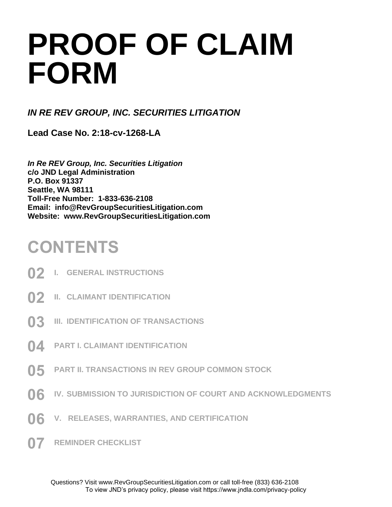# **PROOF OF CLAIM FORM**

*IN RE REV GROUP, INC. SECURITIES LITIGATION*

**Lead Case No. 2:18-cv-1268-LA**

*In Re REV Group, Inc. Securities Litigation* **c/o JND Legal Administration P.O. Box 91337 Seattle, WA 98111 Toll-Free Number: 1-833-636-2108 Email: info@RevGroupSecuritiesLitigation.com Website: www.RevGroupSecuritiesLitigation.com**

### **CONTENTS**

- **02 I. GENERAL INSTRUCTIONS**
- **02 II. CLAIMANT IDENTIFICATION**
- **03 III. IDENTIFICATION OF TRANSACTIONS**
- **04 PART I. CLAIMANT IDENTIFICATION**
- **05 PART II. TRANSACTIONS IN REV GROUP COMMON STOCK**
- **06 IV. SUBMISSION TO JURISDICTION OF COURT AND ACKNOWLEDGMENTS**
- **06 V. RELEASES, WARRANTIES, AND CERTIFICATION**
- **07 REMINDER CHECKLIST**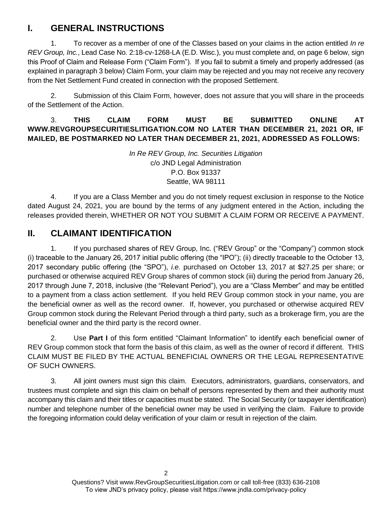### **I. GENERAL INSTRUCTIONS**

1. To recover as a member of one of the Classes based on your claims in the action entitled *In re REV Group, Inc.*, Lead Case No. 2:18-cv-1268-LA (E.D. Wisc.), you must complete and, on page 6 below, sign this Proof of Claim and Release Form ("Claim Form"). If you fail to submit a timely and properly addressed (as explained in paragraph 3 below) Claim Form, your claim may be rejected and you may not receive any recovery from the Net Settlement Fund created in connection with the proposed Settlement.

2. Submission of this Claim Form, however, does not assure that you will share in the proceeds of the Settlement of the Action.

#### 3. **THIS CLAIM FORM MUST BE SUBMITTED ONLINE AT WWW.REVGROUPSECURITIESLITIGATION.COM NO LATER THAN DECEMBER 21, 2021 OR, IF MAILED, BE POSTMARKED NO LATER THAN DECEMBER 21, 2021, ADDRESSED AS FOLLOWS:**

*In Re REV Group, Inc. Securities Litigation* c/o JND Legal Administration P.O. Box 91337 Seattle, WA 98111

4. If you are a Class Member and you do not timely request exclusion in response to the Notice dated August 24, 2021, you are bound by the terms of any judgment entered in the Action, including the releases provided therein, WHETHER OR NOT YOU SUBMIT A CLAIM FORM OR RECEIVE A PAYMENT.

### **II. CLAIMANT IDENTIFICATION**

1. If you purchased shares of REV Group, Inc. ("REV Group" or the "Company") common stock (i) traceable to the January 26, 2017 initial public offering (the "IPO"); (ii) directly traceable to the October 13, 2017 secondary public offering (the "SPO"), *i.e.* purchased on October 13, 2017 at \$27.25 per share; or purchased or otherwise acquired REV Group shares of common stock (iii) during the period from January 26, 2017 through June 7, 2018, inclusive (the "Relevant Period"), you are a "Class Member" and may be entitled to a payment from a class action settlement. If you held REV Group common stock in your name, you are the beneficial owner as well as the record owner. If, however, you purchased or otherwise acquired REV Group common stock during the Relevant Period through a third party, such as a brokerage firm, you are the beneficial owner and the third party is the record owner.

2. Use **Part I** of this form entitled "Claimant Information" to identify each beneficial owner of REV Group common stock that form the basis of this claim, as well as the owner of record if different. THIS CLAIM MUST BE FILED BY THE ACTUAL BENEFICIAL OWNERS OR THE LEGAL REPRESENTATIVE OF SUCH OWNERS.

3. All joint owners must sign this claim. Executors, administrators, guardians, conservators, and trustees must complete and sign this claim on behalf of persons represented by them and their authority must accompany this claim and their titles or capacities must be stated. The Social Security (or taxpayer identification) number and telephone number of the beneficial owner may be used in verifying the claim. Failure to provide the foregoing information could delay verification of your claim or result in rejection of the claim.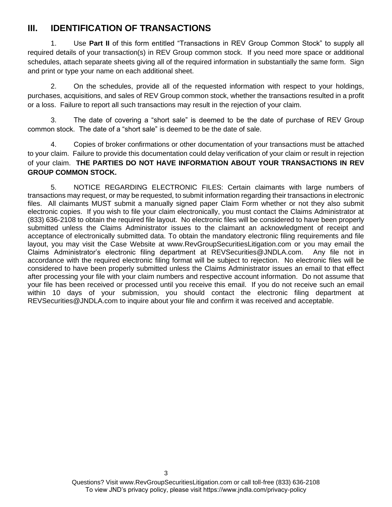### **III. IDENTIFICATION OF TRANSACTIONS**

1. Use **Part II** of this form entitled "Transactions in REV Group Common Stock" to supply all required details of your transaction(s) in REV Group common stock. If you need more space or additional schedules, attach separate sheets giving all of the required information in substantially the same form. Sign and print or type your name on each additional sheet.

2. On the schedules, provide all of the requested information with respect to your holdings, purchases, acquisitions, and sales of REV Group common stock, whether the transactions resulted in a profit or a loss. Failure to report all such transactions may result in the rejection of your claim.

3. The date of covering a "short sale" is deemed to be the date of purchase of REV Group common stock. The date of a "short sale" is deemed to be the date of sale.

4. Copies of broker confirmations or other documentation of your transactions must be attached to your claim. Failure to provide this documentation could delay verification of your claim or result in rejection of your claim. **THE PARTIES DO NOT HAVE INFORMATION ABOUT YOUR TRANSACTIONS IN REV GROUP COMMON STOCK.**

5. NOTICE REGARDING ELECTRONIC FILES: Certain claimants with large numbers of transactions may request, or may be requested, to submit information regarding their transactions in electronic files. All claimants MUST submit a manually signed paper Claim Form whether or not they also submit electronic copies. If you wish to file your claim electronically, you must contact the Claims Administrator at (833) 636-2108 to obtain the required file layout. No electronic files will be considered to have been properly submitted unless the Claims Administrator issues to the claimant an acknowledgment of receipt and acceptance of electronically submitted data. To obtain the mandatory electronic filing requirements and file layout, you may visit the Case Website at www.RevGroupSecuritiesLitigation.com or you may email the Claims Administrator's electronic filing department at REVSecurities@JNDLA.com. Any file not in accordance with the required electronic filing format will be subject to rejection. No electronic files will be considered to have been properly submitted unless the Claims Administrator issues an email to that effect after processing your file with your claim numbers and respective account information. Do not assume that your file has been received or processed until you receive this email. If you do not receive such an email within 10 days of your submission, you should contact the electronic filing department at REVSecurities@JNDLA.com to inquire about your file and confirm it was received and acceptable.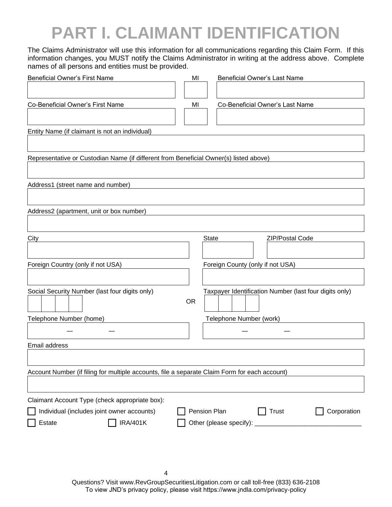## **PART I. CLAIMANT IDENTIFICATION**

The Claims Administrator will use this information for all communications regarding this Claim Form. If this information changes, you MUST notify the Claims Administrator in writing at the address above. Complete names of all persons and entities must be provided.

| <b>Beneficial Owner's First Name</b>                                                          | MI        |       | Beneficial Owner's Last Name                           |
|-----------------------------------------------------------------------------------------------|-----------|-------|--------------------------------------------------------|
|                                                                                               |           |       |                                                        |
| Co-Beneficial Owner's First Name                                                              | MI        |       | Co-Beneficial Owner's Last Name                        |
|                                                                                               |           |       |                                                        |
| Entity Name (if claimant is not an individual)                                                |           |       |                                                        |
|                                                                                               |           |       |                                                        |
| Representative or Custodian Name (if different from Beneficial Owner(s) listed above)         |           |       |                                                        |
|                                                                                               |           |       |                                                        |
| Address1 (street name and number)                                                             |           |       |                                                        |
|                                                                                               |           |       |                                                        |
| Address2 (apartment, unit or box number)                                                      |           |       |                                                        |
|                                                                                               |           |       |                                                        |
| City                                                                                          |           | State | ZIP/Postal Code                                        |
|                                                                                               |           |       |                                                        |
| Foreign Country (only if not USA)                                                             |           |       | Foreign County (only if not USA)                       |
|                                                                                               |           |       |                                                        |
| Social Security Number (last four digits only)                                                |           |       | Taxpayer Identification Number (last four digits only) |
|                                                                                               | <b>OR</b> |       |                                                        |
| Telephone Number (home)                                                                       |           |       | Telephone Number (work)                                |
|                                                                                               |           |       |                                                        |
| Email address                                                                                 |           |       |                                                        |
|                                                                                               |           |       |                                                        |
| Account Number (if filing for multiple accounts, file a separate Claim Form for each account) |           |       |                                                        |
|                                                                                               |           |       |                                                        |
| Claimant Account Type (check appropriate box):                                                |           |       |                                                        |
| Individual (includes joint owner accounts)                                                    |           |       | Pension Plan<br>Trust<br>Corporation                   |
| <b>IRA/401K</b><br>Estate                                                                     |           |       |                                                        |
|                                                                                               |           |       |                                                        |
|                                                                                               |           |       |                                                        |
|                                                                                               |           |       |                                                        |

Questions? Visit www.RevGroupSecuritiesLitigation.com or call toll-free (833) 636-2108 To view JND's privacy policy, please visit https://www.jndla.com/privacy-policy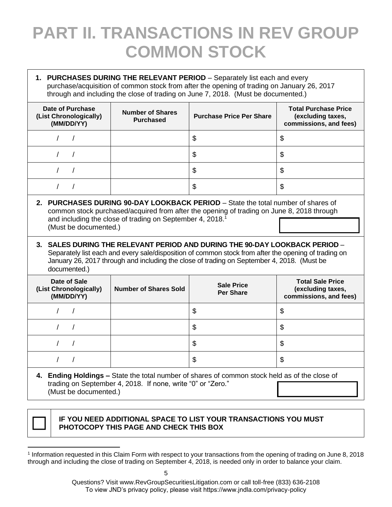## **PART II. TRANSACTIONS IN REV GROUP COMMON STOCK**

| 1. PURCHASES DURING THE RELEVANT PERIOD - Separately list each and every<br>purchase/acquisition of common stock from after the opening of trading on January 26, 2017<br>through and including the close of trading on June 7, 2018. (Must be documented.)                                                                                                                                                                                                                                                                                                                          |                                             |                                       |                                                                            |  |  |  |
|--------------------------------------------------------------------------------------------------------------------------------------------------------------------------------------------------------------------------------------------------------------------------------------------------------------------------------------------------------------------------------------------------------------------------------------------------------------------------------------------------------------------------------------------------------------------------------------|---------------------------------------------|---------------------------------------|----------------------------------------------------------------------------|--|--|--|
| Date of Purchase<br>(List Chronologically)<br>(MM/DD/YY)                                                                                                                                                                                                                                                                                                                                                                                                                                                                                                                             | <b>Number of Shares</b><br><b>Purchased</b> | <b>Purchase Price Per Share</b>       | <b>Total Purchase Price</b><br>(excluding taxes,<br>commissions, and fees) |  |  |  |
| $\prime$                                                                                                                                                                                                                                                                                                                                                                                                                                                                                                                                                                             |                                             | \$                                    | \$                                                                         |  |  |  |
| $\prime$                                                                                                                                                                                                                                                                                                                                                                                                                                                                                                                                                                             |                                             | \$                                    | \$                                                                         |  |  |  |
| $\prime$                                                                                                                                                                                                                                                                                                                                                                                                                                                                                                                                                                             |                                             | \$                                    | \$                                                                         |  |  |  |
| $\prime$<br>T                                                                                                                                                                                                                                                                                                                                                                                                                                                                                                                                                                        |                                             | \$                                    | \$                                                                         |  |  |  |
| 2. PURCHASES DURING 90-DAY LOOKBACK PERIOD - State the total number of shares of<br>common stock purchased/acquired from after the opening of trading on June 8, 2018 through<br>and including the close of trading on September 4, 2018. <sup>1</sup><br>(Must be documented.)<br>3. SALES DURING THE RELEVANT PERIOD AND DURING THE 90-DAY LOOKBACK PERIOD -<br>Separately list each and every sale/disposition of common stock from after the opening of trading on<br>January 26, 2017 through and including the close of trading on September 4, 2018. (Must be<br>documented.) |                                             |                                       |                                                                            |  |  |  |
|                                                                                                                                                                                                                                                                                                                                                                                                                                                                                                                                                                                      |                                             |                                       |                                                                            |  |  |  |
| Date of Sale<br>(List Chronologically)<br>(MM/DD/YY)                                                                                                                                                                                                                                                                                                                                                                                                                                                                                                                                 | <b>Number of Shares Sold</b>                | <b>Sale Price</b><br><b>Per Share</b> | <b>Total Sale Price</b><br>(excluding taxes,<br>commissions, and fees)     |  |  |  |
| $\prime$                                                                                                                                                                                                                                                                                                                                                                                                                                                                                                                                                                             |                                             | $\mathfrak{S}$                        | \$                                                                         |  |  |  |
| $\prime$<br>$\prime$                                                                                                                                                                                                                                                                                                                                                                                                                                                                                                                                                                 |                                             | \$                                    | \$                                                                         |  |  |  |
| $\prime$<br>$\sqrt{2}$                                                                                                                                                                                                                                                                                                                                                                                                                                                                                                                                                               |                                             | \$                                    | \$                                                                         |  |  |  |
| $\sqrt{2}$<br>$\prime$                                                                                                                                                                                                                                                                                                                                                                                                                                                                                                                                                               |                                             | $\mathfrak{S}$                        | \$                                                                         |  |  |  |

(Must be documented.)



#### **IF YOU NEED ADDITIONAL SPACE TO LIST YOUR TRANSACTIONS YOU MUST PHOTOCOPY THIS PAGE AND CHECK THIS BOX**

<sup>1</sup> Information requested in this Claim Form with respect to your transactions from the opening of trading on June 8, 2018 through and including the close of trading on September 4, 2018, is needed only in order to balance your claim.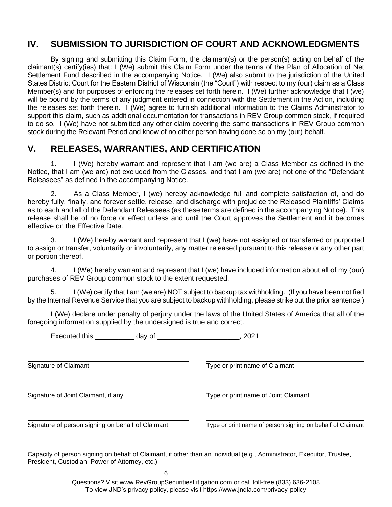#### **IV. SUBMISSION TO JURISDICTION OF COURT AND ACKNOWLEDGMENTS**

By signing and submitting this Claim Form, the claimant(s) or the person(s) acting on behalf of the claimant(s) certify(ies) that: I (We) submit this Claim Form under the terms of the Plan of Allocation of Net Settlement Fund described in the accompanying Notice. I (We) also submit to the jurisdiction of the United States District Court for the Eastern District of Wisconsin (the "Court") with respect to my (our) claim as a Class Member(s) and for purposes of enforcing the releases set forth herein. I (We) further acknowledge that I (we) will be bound by the terms of any judgment entered in connection with the Settlement in the Action, including the releases set forth therein. I (We) agree to furnish additional information to the Claims Administrator to support this claim, such as additional documentation for transactions in REV Group common stock, if required to do so. I (We) have not submitted any other claim covering the same transactions in REV Group common stock during the Relevant Period and know of no other person having done so on my (our) behalf.

#### **V. RELEASES, WARRANTIES, AND CERTIFICATION**

1. I (We) hereby warrant and represent that I am (we are) a Class Member as defined in the Notice, that I am (we are) not excluded from the Classes, and that I am (we are) not one of the "Defendant Releasees" as defined in the accompanying Notice.

2. As a Class Member, I (we) hereby acknowledge full and complete satisfaction of, and do hereby fully, finally, and forever settle, release, and discharge with prejudice the Released Plaintiffs' Claims as to each and all of the Defendant Releasees (as these terms are defined in the accompanying Notice). This release shall be of no force or effect unless and until the Court approves the Settlement and it becomes effective on the Effective Date.

I (We) hereby warrant and represent that I (we) have not assigned or transferred or purported to assign or transfer, voluntarily or involuntarily, any matter released pursuant to this release or any other part or portion thereof.

4. I (We) hereby warrant and represent that I (we) have included information about all of my (our) purchases of REV Group common stock to the extent requested.

5. I (We) certify that I am (we are) NOT subject to backup tax withholding. (If you have been notified by the Internal Revenue Service that you are subject to backup withholding, please strike out the prior sentence.)

I (We) declare under penalty of perjury under the laws of the United States of America that all of the foregoing information supplied by the undersigned is true and correct.

Executed this \_\_\_\_\_\_\_\_\_\_ day of \_\_\_\_\_\_\_\_\_\_\_\_\_\_\_\_\_\_\_\_\_, 2021

Signature of Claimant Type or print name of Claimant

Signature of Joint Claimant, if any Type or print name of Joint Claimant

Signature of person signing on behalf of Claimant Type or print name of person signing on behalf of Claimant

Capacity of person signing on behalf of Claimant, if other than an individual (e.g., Administrator, Executor, Trustee, President, Custodian, Power of Attorney, etc.)

6

Questions? Visit www.RevGroupSecuritiesLitigation.com or call toll-free (833) 636-2108 To view JND's privacy policy, please visit https://www.jndla.com/privacy-policy